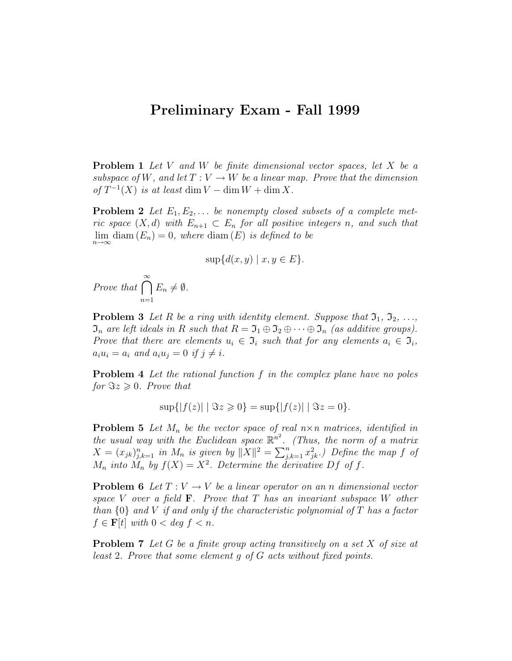## Preliminary Exam - Fall 1999

**Problem 1** Let V and W be finite dimensional vector spaces, let X be a subspace of W, and let  $T: V \to W$  be a linear map. Prove that the dimension of  $T^{-1}(X)$  is at least dim  $V - \dim W + \dim X$ .

**Problem 2** Let  $E_1, E_2, \ldots$  be nonempty closed subsets of a complete metric space  $(X, d)$  with  $E_{n+1} \subset E_n$  for all positive integers n, and such that  $\lim_{n\to\infty}$  diam  $(E_n)=0$ , where diam  $(E)$  is defined to be

$$
\sup\{d(x,y) \mid x, y \in E\}.
$$

Prove that  $\bigcap^{\infty}$  $n=1$  $E_n \neq \emptyset$ .

**Problem 3** Let R be a ring with identity element. Suppose that  $\mathfrak{I}_1, \mathfrak{I}_2, \ldots$ ,  $\mathfrak{I}_n$  are left ideals in R such that  $R = \mathfrak{I}_1 \oplus \mathfrak{I}_2 \oplus \cdots \oplus \mathfrak{I}_n$  (as additive groups). Prove that there are elements  $u_i \in \mathfrak{I}_i$  such that for any elements  $a_i \in \mathfrak{I}_i$ ,  $a_i u_i = a_i$  and  $a_i u_j = 0$  if  $j \neq i$ .

**Problem 4** Let the rational function f in the complex plane have no poles for  $\Im z \geqslant 0$ . Prove that

$$
\sup\{|f(z)| \mid \Im z \geq 0\} = \sup\{|f(z)| \mid \Im z = 0\}.
$$

**Problem 5** Let  $M_n$  be the vector space of real  $n \times n$  matrices, identified in the usual way with the Euclidean space  $\mathbb{R}^{n^2}$ . (Thus, the norm of a matrix  $X = (x_{jk})_{j,k=1}^n$  in  $M_n$  is given by  $||X||^2 = \sum_{j,k=1}^n x_{jk}^2$ .) Define the map f of  $M_n$  into  $M_n$  by  $f(X) = X^2$ . Determine the derivative Df of f.

**Problem 6** Let  $T: V \to V$  be a linear operator on an n dimensional vector space V over a field  $\mathbf{F}$ . Prove that T has an invariant subspace W other than  $\{0\}$  and V if and only if the characteristic polynomial of T has a factor  $f \in \mathbf{F}[t]$  with  $0 < deg f < n$ .

**Problem 7** Let G be a finite group acting transitively on a set  $X$  of size at least 2. Prove that some element g of G acts without fixed points.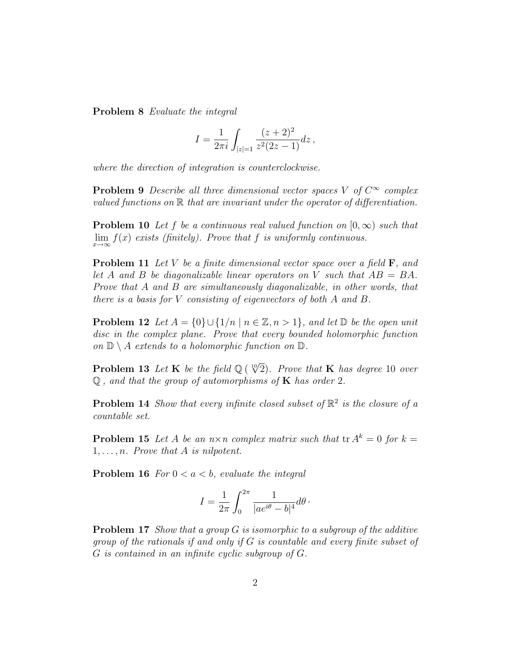Problem 8 Evaluate the integral

$$
I = \frac{1}{2\pi i} \int_{|z|=1} \frac{(z+2)^2}{z^2(2z-1)} dz,
$$

where the direction of integration is counterclockwise.

**Problem 9** Describe all three dimensional vector spaces V of  $C^{\infty}$  complex valued functions on  $\mathbb R$  that are invariant under the operator of differentiation.

**Problem 10** Let f be a continuous real valued function on  $[0, \infty)$  such that  $\lim_{x\to\infty} f(x)$  exists (finitely). Prove that f is uniformly continuous.

**Problem 11** Let V be a finite dimensional vector space over a field  $\mathbf{F}$ , and let A and B be diagonalizable linear operators on V such that  $AB = BA$ . Prove that A and B are simultaneously diagonalizable, in other words, that there is a basis for V consisting of eigenvectors of both A and B.

**Problem 12** Let  $A = \{0\} \cup \{1/n \mid n \in \mathbb{Z}, n > 1\}$ , and let  $\mathbb{D}$  be the open unit disc in the complex plane. Prove that every bounded holomorphic function on  $\mathbb{D} \setminus A$  extends to a holomorphic function on  $\mathbb{D}$ .

**Problem 13** Let **K** be the field  $\mathbb{Q}$  ( $\sqrt[10]{2}$ ). Prove that **K** has degree 10 over  $\mathbb Q$ , and that the group of automorphisms of **K** has order 2.

**Problem 14** Show that every infinite closed subset of  $\mathbb{R}^2$  is the closure of a countable set.

**Problem 15** Let A be an  $n \times n$  complex matrix such that  $\text{tr } A^k = 0$  for  $k =$  $1, \ldots, n$ . Prove that A is nilpotent.

**Problem 16** For  $0 < a < b$ , evaluate the integral

$$
I = \frac{1}{2\pi} \int_0^{2\pi} \frac{1}{|ae^{i\theta} - b|^4} d\theta \,.
$$

**Problem 17** Show that a group  $G$  is isomorphic to a subgroup of the additive group of the rationals if and only if G is countable and every finite subset of G is contained in an infinite cyclic subgroup of G.